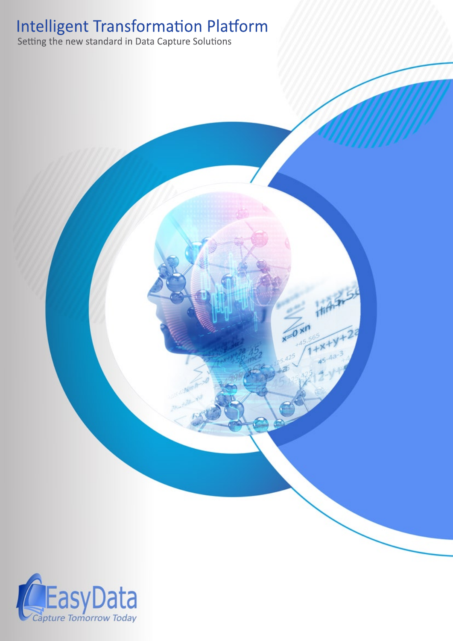# **Intelligent Transformation Platform**<br>Setting the new standard in Data Capture Solutions



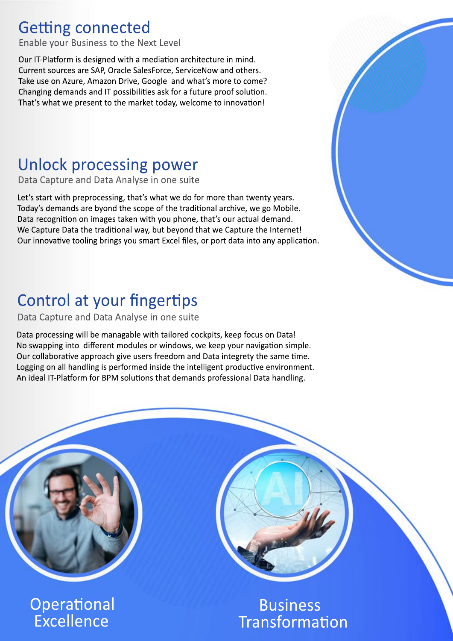### **Getting connected**

Enable your Business to the Next Level

Our IT-Platform is designed with a mediation architecture in mind. Current sources are SAP, Oracle SalesForce, ServiceNow and others. Take use on Azure, Amazon Drive, Google and what's more to come? Changing demands and IT possibilities ask for a future proof solution. That's what we present to the market today, welcome to innovation!

# **Unlock processing power**

Data Capture and Data Analyse in one suite

Let's start with preprocessing, that's what we do for more than twenty years. Today's demands are byond the scope of the traditional archive, we go Mobile. Data recognition on images taken with you phone, that's our actual demand. We Capture Data the traditional way, but beyond that we Capture the Internet! Our innovative tooling brings you smart Excel files, or port data into any application.

# Control at your fingertips

#### Data Capture and Data Analyse in one suite

Data processing will be managable with tailored cockpits, keep focus on Data! No swapping into different modules or windows, we keep your navigation simple. Our collaborative approach give users freedom and Data integrety the same time. Logging on all handling is performed inside the intelligent productive environment. An ideal IT-Platform for BPM solutions that demands professional Data handling.



**Business** Transformation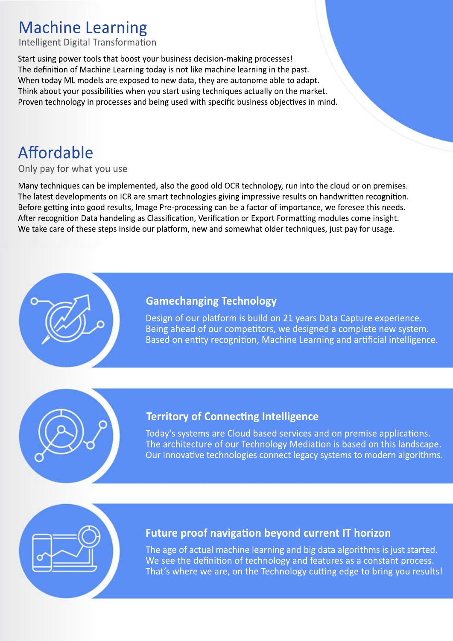# **Machine Learning**

**Intelligent Digital Transformation** 

Start using power tools that boost your business decision-making processes! The definition of Machine Learning today is not like machine learning in the past. When today ML models are exposed to new data, they are autonome able to adapt. Think about your possibilities when you start using techniques actually on the market. Proven technology in processes and being used with specific business objectives in mind.

# Affordable

#### Only pay for what you use

Many techniques can be implemented, also the good old OCR technology, run into the cloud or on premises. The latest developments on ICR are smart technologies giving impressive results on handwritten recognition. Before getting into good results, Image Pre-processing can be a factor of importance, we foresee this needs. After recognition Data handeling as Classification, Verification or Export Formatting modules come insight. We take care of these steps inside our platform, new and somewhat older techniques, just pay for usage.

### **Gamechanging Technology**

Design of our platform is build on 21 years Data Capture experience. Being ahead of our competitors, we designed a complete new system. Based on entity recognition, Machine Learning and artificial intelligence.

### **Territory of Connecting Intelligence**

Today's systems are Cloud based services and on premise applications. The architecture of our Technology Mediation is based on this landscape. Our Innovative technologies connect legacy systems to modern algorithms.

### **Future proof navigation beyond current IT horizon**

The age of actual machine learning and big data algorithms is just started. We see the definition of technology and features as a constant process. That's where we are, on the Technology cutting edge to bring you results!